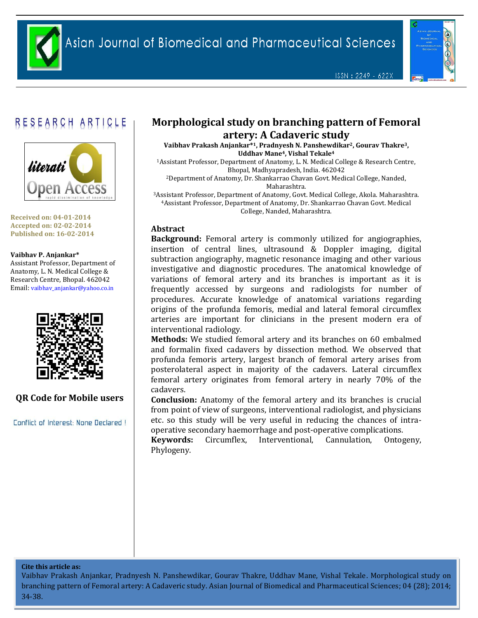

ISSN: 2249 - 622X



# RESEARCH ARTICLE



**Received on: 04-01-2014 Accepted on: 02-02-2014 Published on: 16-02-2014**

#### **Vaibhav P. Anjankar\***

Assistant Professor, Department of Anatomy, L. N. Medical College & Research Centre, Bhopal. 462042 Email: [vaibhav\\_anjankar@yahoo.co.in](mailto:vaibhav_anjankar@yahoo.co.in)



# **QR Code for Mobile users**

Conflict of Interest: None Declared !

# **Morphological study on branching pattern of Femoral artery: A Cadaveric study**

**Vaibhav Prakash Anjankar\* <sup>1</sup>, Pradnyesh N. Panshewdikar2, Gourav Thakre3, Uddhav Mane4, Vishal Tekale<sup>4</sup>**

<sup>1</sup>Assistant Professor, Department of Anatomy, L. N. Medical College & Research Centre, Bhopal, Madhyapradesh, India. 462042

<sup>2</sup>Department of Anatomy, Dr. Shankarrao Chavan Govt. Medical College, Nanded, Maharashtra.

<sup>3</sup>Assistant Professor, Department of Anatomy, Govt. Medical College, Akola. Maharashtra. <sup>4</sup>Assistant Professor, Department of Anatomy, Dr. Shankarrao Chavan Govt. Medical College, Nanded, Maharashtra.

# **Abstract**

**Background:** Femoral artery is commonly utilized for angiographies, insertion of central lines, ultrasound & Doppler imaging, digital subtraction angiography, magnetic resonance imaging and other various investigative and diagnostic procedures. The anatomical knowledge of variations of femoral artery and its branches is important as it is frequently accessed by surgeons and radiologists for number of procedures. Accurate knowledge of anatomical variations regarding origins of the profunda femoris, medial and lateral femoral circumflex arteries are important for clinicians in the present modern era of interventional radiology.

**Methods:** We studied femoral artery and its branches on 60 embalmed and formalin fixed cadavers by dissection method. We observed that profunda femoris artery, largest branch of femoral artery arises from posterolateral aspect in majority of the cadavers. Lateral circumflex femoral artery originates from femoral artery in nearly 70% of the cadavers.

**Conclusion:** Anatomy of the femoral artery and its branches is crucial from point of view of surgeons, interventional radiologist, and physicians etc. so this study will be very useful in reducing the chances of intraoperative secondary haemorrhage and post-operative complications.

**Keywords:** Circumflex, Interventional, Cannulation, Ontogeny, Phylogeny.

#### **Cite this article as:**

Vaibhav Prakash Anjankar, Pradnyesh N. Panshewdikar, Gourav Thakre, Uddhav Mane, Vishal Tekale. Morphological study on branching pattern of Femoral artery: A Cadaveric study. Asian Journal of Biomedical and Pharmaceutical Sciences; 04 (28); 2014; 34-38.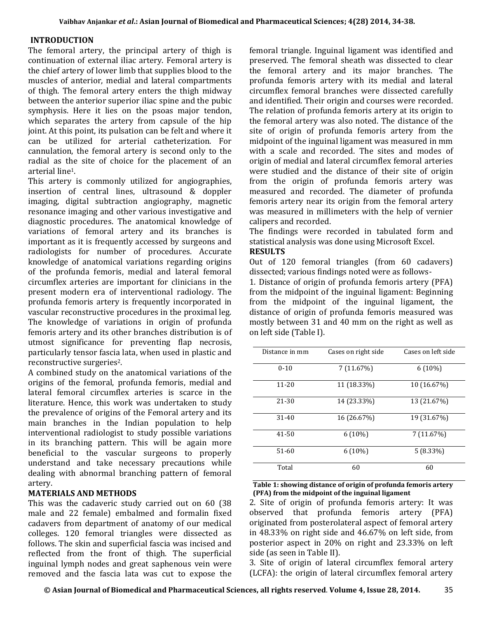## **INTRODUCTION**

The femoral artery, the principal artery of thigh is continuation of external iliac artery. Femoral artery is the chief artery of lower limb that supplies blood to the muscles of anterior, medial and lateral compartments of thigh. The femoral artery enters the thigh midway between the anterior superior iliac spine and the pubic symphysis. Here it lies on the psoas major tendon, which separates the artery from capsule of the hip joint. At this point, its pulsation can be felt and where it can be utilized for arterial catheterization. For cannulation, the femoral artery is second only to the radial as the site of choice for the placement of an arterial line1.

This artery is commonly utilized for angiographies, insertion of central lines, ultrasound & doppler imaging, digital subtraction angiography, magnetic resonance imaging and other various investigative and diagnostic procedures. The anatomical knowledge of variations of femoral artery and its branches is important as it is frequently accessed by surgeons and radiologists for number of procedures. Accurate knowledge of anatomical variations regarding origins of the profunda femoris, medial and lateral femoral circumflex arteries are important for clinicians in the present modern era of interventional radiology. The profunda femoris artery is frequently incorporated in vascular reconstructive procedures in the proximal leg. The knowledge of variations in origin of profunda femoris artery and its other branches distribution is of utmost significance for preventing flap necrosis, particularly tensor fascia lata, when used in plastic and reconstructive surgeries2.

A combined study on the anatomical variations of the origins of the femoral, profunda femoris, medial and lateral femoral circumflex arteries is scarce in the literature. Hence, this work was undertaken to study the prevalence of origins of the Femoral artery and its main branches in the Indian population to help interventional radiologist to study possible variations in its branching pattern. This will be again more beneficial to the vascular surgeons to properly understand and take necessary precautions while dealing with abnormal branching pattern of femoral artery.

# **MATERIALS AND METHODS**

This was the cadaveric study carried out on 60 (38 male and 22 female) embalmed and formalin fixed cadavers from department of anatomy of our medical colleges. 120 femoral triangles were dissected as follows. The skin and superficial fascia was incised and reflected from the front of thigh. The superficial inguinal lymph nodes and great saphenous vein were removed and the fascia lata was cut to expose the femoral triangle. Inguinal ligament was identified and preserved. The femoral sheath was dissected to clear the femoral artery and its major branches. The profunda femoris artery with its medial and lateral circumflex femoral branches were dissected carefully and identified. Their origin and courses were recorded. The relation of profunda femoris artery at its origin to the femoral artery was also noted. The distance of the site of origin of profunda femoris artery from the midpoint of the inguinal ligament was measured in mm with a scale and recorded. The sites and modes of origin of medial and lateral circumflex femoral arteries were studied and the distance of their site of origin from the origin of profunda femoris artery was measured and recorded. The diameter of profunda femoris artery near its origin from the femoral artery was measured in millimeters with the help of vernier calipers and recorded.

The findings were recorded in tabulated form and statistical analysis was done using Microsoft Excel.

#### **RESULTS**

Out of 120 femoral triangles (from 60 cadavers) dissected; various findings noted were as follows-

1. Distance of origin of profunda femoris artery (PFA) from the midpoint of the inguinal ligament: Beginning from the midpoint of the inguinal ligament, the distance of origin of profunda femoris measured was mostly between 31 and 40 mm on the right as well as on left side (Table I).

| Distance in mm | Cases on right side | Cases on left side |
|----------------|---------------------|--------------------|
| $0 - 10$       | 7 (11.67%)          | $6(10\%)$          |
| $11 - 20$      | 11 (18.33%)         | 10 (16.67%)        |
| $21 - 30$      | 14 (23.33%)         | 13 (21.67%)        |
| $31 - 40$      | 16 (26.67%)         | 19 (31.67%)        |
| $41 - 50$      | $6(10\%)$           | 7 (11.67%)         |
| 51-60          | $6(10\%)$           | $5(8.33\%)$        |
| Total          | 60                  | 60                 |

#### **Table 1: showing distance of origin of profunda femoris artery (PFA) from the midpoint of the inguinal ligament**

2. Site of origin of profunda femoris artery: It was observed that profunda femoris artery (PFA) originated from posterolateral aspect of femoral artery in 48.33% on right side and 46.67% on left side, from posterior aspect in 20% on right and 23.33% on left side (as seen in Table II).

3. Site of origin of lateral circumflex femoral artery (LCFA): the origin of lateral circumflex femoral artery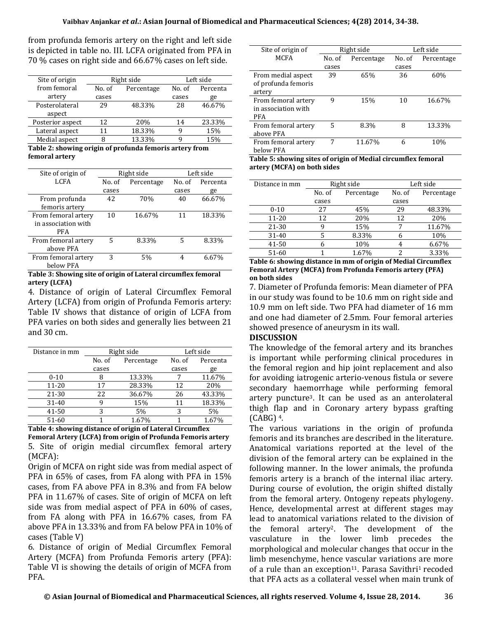from profunda femoris artery on the right and left side is depicted in table no. III. LCFA originated from PFA in 70 % cases on right side and 66.67% cases on left side.

| Site of origin   | Right side |            | Left side |          |
|------------------|------------|------------|-----------|----------|
| from femoral     | No. of     | Percentage | No. of    | Percenta |
| artery           | cases      |            | cases     | ge       |
| Posterolateral   | 29         | 48.33%     | 28        | 46.67%   |
| aspect           |            |            |           |          |
| Posterior aspect | 12         | 20%        | 14        | 23.33%   |
| Lateral aspect   | 11         | 18.33%     | q         | 15%      |
| Medial aspect    | 8          | 13.33%     | q         | 15%      |
|                  |            |            |           |          |

**Table 2: showing origin of profunda femoris artery from femoral artery**

| Site of origin of                                 | Right side |            | Left side |          |
|---------------------------------------------------|------------|------------|-----------|----------|
| <b>LCFA</b>                                       | No. of     | Percentage | No. of    | Percenta |
|                                                   | cases      |            | cases     | ge       |
| From profunda<br>femoris artery                   | 42         | 70%        | 40        | 66.67%   |
| From femoral artery<br>in association with<br>PFA | 10         | 16.67%     | 11        | 18.33%   |
| From femoral artery<br>above PFA                  | 5          | 8.33%      | 5         | 8.33%    |
| From femoral artery<br>below PFA                  | 3          | 5%         | 4         | 6.67%    |

#### **Table 3: Showing site of origin of Lateral circumflex femoral artery (LCFA)**

4. Distance of origin of Lateral Circumflex Femoral Artery (LCFA) from origin of Profunda Femoris artery: Table IV shows that distance of origin of LCFA from PFA varies on both sides and generally lies between 21 and 30 cm.

| Distance in mm | Right side |            | Left side |          |
|----------------|------------|------------|-----------|----------|
|                | No. of     | Percentage | No. of    | Percenta |
|                | cases      |            | cases     | ge       |
| $0 - 10$       |            | 13.33%     |           | 11.67%   |
| $11 - 20$      | 17         | 28.33%     | 12        | 20%      |
| 21-30          | 22         | 36.67%     | 26        | 43.33%   |
| 31-40          |            | 15%        |           | 18.33%   |
| 41-50          | 3          | 5%         |           | 5%       |
| 51-60          |            | 1.67%      |           | 1.67%    |

#### **Table 4: showing distance of origin of Lateral Circumflex Femoral Artery (LCFA) from origin of Profunda Femoris artery** 5. Site of origin medial circumflex femoral artery (MCFA):

Origin of MCFA on right side was from medial aspect of PFA in 65% of cases, from FA along with PFA in 15% cases, from FA above PFA in 8.3% and from FA below PFA in 11.67% of cases. Site of origin of MCFA on left side was from medial aspect of PFA in 60% of cases, from FA along with PFA in 16.67% cases, from FA above PFA in 13.33% and from FA below PFA in 10% of cases (Table V)

6. Distance of origin of Medial Circumflex Femoral Artery (MCFA) from Profunda Femoris artery (PFA): Table VI is showing the details of origin of MCFA from PFA.

| Site of origin of   |        | Right side | Left side |            |
|---------------------|--------|------------|-----------|------------|
| <b>MCFA</b>         | No. of | Percentage | No. of    | Percentage |
|                     | cases  |            | cases     |            |
| From medial aspect  | 39     | 65%        | 36        | 60%        |
| of profunda femoris |        |            |           |            |
| artery              |        |            |           |            |
| From femoral artery | 9      | 15%        | 10        | 16.67%     |
| in association with |        |            |           |            |
| <b>PFA</b>          |        |            |           |            |
| From femoral artery | 5      | 8.3%       | 8         | 13.33%     |
| above PFA           |        |            |           |            |
| From femoral artery | 7      | 11.67%     | 6         | 10%        |
| below PFA           |        |            |           |            |

**Table 5: showing sites of origin of Medial circumflex femoral artery (MCFA) on both sides**

| Distance in mm | Right side |            | Left side |            |
|----------------|------------|------------|-----------|------------|
|                | No. of     | Percentage | No. of    | Percentage |
|                | cases      |            | cases     |            |
| $0 - 10$       | 27         | 45%        | 29        | 48.33%     |
| $11 - 20$      | 12         | 20%        | 12        | 20%        |
| 21-30          |            | 15%        |           | 11.67%     |
| $31 - 40$      |            | 8.33%      |           | 10%        |
| 41-50          |            | 10%        |           | 6.67%      |
| 51-60          |            | 1.67%      | っ         | 3.33%      |

**Table 6: showing distance in mm of origin of Medial Circumflex Femoral Artery (MCFA) from Profunda Femoris artery (PFA) on both sides**

7. Diameter of Profunda femoris: Mean diameter of PFA in our study was found to be 10.6 mm on right side and 10.9 mm on left side. Two PFA had diameter of 16 mm and one had diameter of 2.5mm. Four femoral arteries showed presence of aneurysm in its wall.

## **DISCUSSION**

The knowledge of the femoral artery and its branches is important while performing clinical procedures in the femoral region and hip joint replacement and also for avoiding iatrogenic arterio-venous fistula or severe secondary haemorrhage while performing femoral artery puncture3. It can be used as an anterolateral thigh flap and in Coronary artery bypass grafting  $(CABG)$ <sup>4</sup>.

The various variations in the origin of profunda femoris and its branches are described in the literature. Anatomical variations reported at the level of the division of the femoral artery can be explained in the following manner. In the lower animals, the profunda femoris artery is a branch of the internal iliac artery. During course of evolution, the origin shifted distally from the femoral artery. Ontogeny repeats phylogeny. Hence, developmental arrest at different stages may lead to anatomical variations related to the division of the femoral artery2. The development of the vasculature in the lower limb precedes the morphological and molecular changes that occur in the limb mesenchyme, hence vascular variations are more of a rule than an exception<sup>11</sup>. Parasa Savithri<sup>1</sup> recoded that PFA acts as a collateral vessel when main trunk of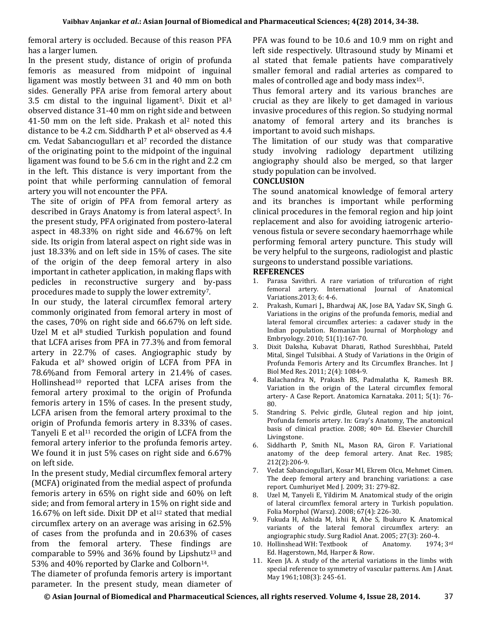femoral artery is occluded. Because of this reason PFA has a larger lumen.

In the present study, distance of origin of profunda femoris as measured from midpoint of inguinal ligament was mostly between 31 and 40 mm on both sides. Generally PFA arise from femoral artery about 3.5 cm distal to the inguinal ligament<sup>5</sup>. Dixit et al<sup>3</sup> observed distance 31-40 mm on right side and between 41-50 mm on the left side. Prakash et al<sup>2</sup> noted this distance to be 4.2 cm. Siddharth P et al<sup>6</sup> observed as  $4.4$ cm. Vedat Sabancıogulları et al<sup>7</sup> recorded the distance of the originating point to the midpoint of the inguinal ligament was found to be 5.6 cm in the right and 2.2 cm in the left. This distance is very important from the point that while performing cannulation of femoral artery you will not encounter the PFA.

The site of origin of PFA from femoral artery as described in Grays Anatomy is from lateral aspect5. In the present study, PFA originated from postero-lateral aspect in 48.33% on right side and 46.67% on left side. Its origin from lateral aspect on right side was in just 18.33% and on left side in 15% of cases. The site of the origin of the deep femoral artery in also important in catheter application, in making flaps with pedicles in reconstructive surgery and by-pass procedures made to supply the lower extremity7.

In our study, the lateral circumflex femoral artery commonly originated from femoral artery in most of the cases, 70% on right side and 66.67% on left side. Uzel M et al<sup>8</sup> studied Turkish population and found that LCFA arises from PFA in 77.3% and from femoral artery in 22.7% of cases. Angiographic study by Fakuda et al<sup>9</sup> showed origin of LCFA from PFA in 78.6%and from Femoral artery in 21.4% of cases. Hollinshead<sup>10</sup> reported that LCFA arises from the femoral artery proximal to the origin of Profunda femoris artery in 15% of cases. In the present study, LCFA arisen from the femoral artery proximal to the origin of Profunda femoris artery in 8.33% of cases. Tanyeli E et al<sup>11</sup> recorded the origin of LCFA from the femoral artery inferior to the profunda femoris artey. We found it in just 5% cases on right side and 6.67% on left side.

In the present study, Medial circumflex femoral artery (MCFA) originated from the medial aspect of profunda femoris artery in 65% on right side and 60% on left side; and from femoral artery in 15% on right side and 16.67% on left side. Dixit DP et al<sup>12</sup> stated that medial circumflex artery on an average was arising in 62.5% of cases from the profunda and in 20.63% of cases from the femoral artery. These findings are comparable to 59% and 36% found by Lipshutz<sup>13</sup> and 53% and 40% reported by Clarke and Colborn<sup>14</sup>.

The diameter of profunda femoris artery is important parameter. In the present study, mean diameter of PFA was found to be 10.6 and 10.9 mm on right and left side respectively. Ultrasound study by Minami et al stated that female patients have comparatively smaller femoral and radial arteries as compared to males of controlled age and body mass index15.

Thus femoral artery and its various branches are crucial as they are likely to get damaged in various invasive procedures of this region. So studying normal anatomy of femoral artery and its branches is important to avoid such mishaps.

The limitation of our study was that comparative study involving radiology department utilizing angiography should also be merged, so that larger study population can be involved.

# **CONCLUSION**

The sound anatomical knowledge of femoral artery and its branches is important while performing clinical procedures in the femoral region and hip joint replacement and also for avoiding iatrogenic arteriovenous fistula or severe secondary haemorrhage while performing femoral artery puncture. This study will be very helpful to the surgeons, radiologist and plastic surgeons to understand possible variations.

#### **REFERENCES**

- 1. Parasa Savithri. A rare variation of trifurcation of right femoral artery. International Journal of Anatomical Variations.2013; 6: 4-6.
- 2. Prakash, Kumari J., Bhardwaj AK, Jose BA, Yadav SK, Singh G. Variations in the origins of the profunda femoris, medial and lateral femoral circumflex arteries: a cadaver study in the Indian population. Romanian Journal of Morphology and Embryology. 2010; 51(1):167-70.
- 3. Dixit Daksha, Kubavat Dharati, Rathod Sureshbhai, Pateld Mital, Singel Tulsibhai. A Study of Variations in the Origin of Profunda Femoris Artery and Its Circumflex Branches. Int J Biol Med Res. 2011; 2(4): 1084-9.
- 4. Balachandra N, Prakash BS, Padmalatha K, Ramesh BR. Variation in the origin of the Lateral circumflex femoral artery- A Case Report. Anatomica Karnataka. 2011; 5(1): 76- 80.
- 5. Standring S. Pelvic girdle, Gluteal region and hip joint, Profunda femoris artery. In: Gray's Anatomy, The anatomical basis of clinical practice. 2008; 40<sup>th</sup> Ed. Elsevier Churchill Livingstone.
- 6. Siddharth P, Smith NL, Mason RA, Giron F. Variational anatomy of the deep femoral artery. Anat Rec. 1985; 212(2):206-9.
- 7. Vedat Sabanciogullari, Kosar MI, Ekrem Olcu, Mehmet Cimen. The deep femoral artery and branching variations: a case report. Cumhuriyet Med J. 2009; 31: 279-82.
- 8. Uzel M, Tanyeli E, Yildirim M. Anatomical study of the origin of lateral circumflex femoral artery in Turkish population. Folia Morphol (Warsz). 2008; 67(4): 226-30.
- 9. Fukuda H, Ashida M, Ishii R, Abe S, Ibukuro K. Anatomical variants of the lateral femoral circumflex artery: an angiographic study. Surg Radiol Anat. 2005; 27(3): 260-4.
- 10. Hollinshead WH: Textbook of Anatomy. 1974; 3rd Ed. Hagerstown, Md, Harper & Row.
- 11. Keen JA. A study of the arterial variations in the limbs with special reference to symmetry of vascular patterns. Am J Anat. May 1961;108(3): 245-61.

**© Asian Journal of Biomedical and Pharmaceutical Sciences, all rights reserved**. **Volume 4, Issue 28, 2014.** 37